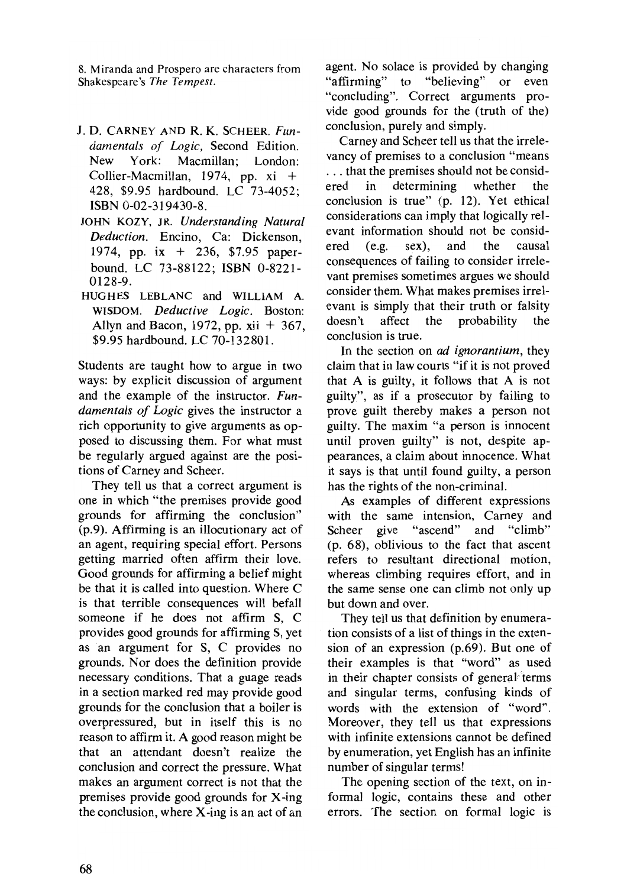8. Miranda and Prospero are characters from Shakespeare's *The Tempest.* 

- J. D. CARNEY AND R. K. SCHEER. *Fundamentals of Logic,* Second Edition. New York: Macmillan; London: Collier-Macmillan, 1974, pp.  $xi +$ 428, \$9.95 hardbound. LC 73-4052; ISBN 0-02-319430-8.
- JOHN KOZY, JR. *Understanding Natural Deduction.* Encino, Ca: Dickenson, 1974, pp. ix + 236, \$7.95 paperbound. LC 73-88122; ISBN 0-8221- 0128-9.
- HUGHES LEBLANC and WILLIAM A. WISDOM. *Deductive Logic.* Boston: Allyn and Bacon, 1972, pp.  $xii + 367$ , \$9.95 hardbound. LC 70-132801.

Students are taught how to argue in two ways: by explicit discussion of argument and the example of the instructor. *Fundamentals of Logic* gives the instructor a rich opportunity to give arguments as opposed to discussing them. For what must be regularly argued against are the positions of Carney and Scheer.

They tell us that a correct argument is one in which "the premises provide good grounds for affirming the conclusion" (p.9). Affirming is an illocutionary act of an agent, requiring special effort. Persons getting married often affirm their love. Good grounds for affirming a belief might be that it is called into question. Where C is that terrible consequences will befall someone if he does not affirm S, C provides good grounds for affirming S, yet as an argument for S, C provides no grounds. Nor does the definition provide necessary conditions. That a guage reads in a section marked red may provide good grounds for the conclusion that a boiler is overpressured, but in itself this is no reason to affirm it. A good reason might be that an attendant doesn't realize the conclusion and correct the pressure. What makes an argument correct is not that the premises provide good grounds for X-ing the conclusion, where  $X$ -ing is an act of an

agent. No solace is provided by changing "affirming" to "believing" or even "concluding". Correct arguments provide good grounds for the (truth of the) conclusion, purely and simply.

Carney and Scheer tell us that the irrelevancy of premises to a conclusion "means ... that the premises should not be considered in determining whether the ered in determining whether the conclusion is true" (p. 12). Yet ethical considerations can imply that logically relevant information should not be considered (e.g. sex), and the causal consequences of failing to consider irrelevant premises sometimes argues we should consider them. What makes premises irrelevant is simply that their truth or falsity doesn't affect the probability the conclusion is true.

In the section on *ad ignorantium,* they claim that in law courts "if it is not proved that A is guilty, it follows that A is not guilty", as if a prosecutor by failing to prove guilt thereby makes a person not guilty. The maxim "a person is innocent until proven guilty" is not, despite appearances, a claim about innocence. What it says is that until found guilty, a person has the rights of the non-criminal.

As examples of different expressions with the same intension, Carney and Scheer give "ascend" and "climb" (p. 68), oblivious to the fact that ascent refers to resultant directional motion, whereas climbing requires effort, and in the same sense one can climb not only up but down and over.

They tell us that definition by enumeration consists of a list of things in the extension of an expression (p.69). But one of their examples is that "word" as used in their chapter consists of general terms and singular terms, confusing kinds of words with the extension of "word". Moreover, they tell us that expressions with infinite extensions cannot be defined by enumeration, yet English has an infinite number of singular terms!

The opening section of the text, on informal logic, contains these and other errors. The section on formal logic is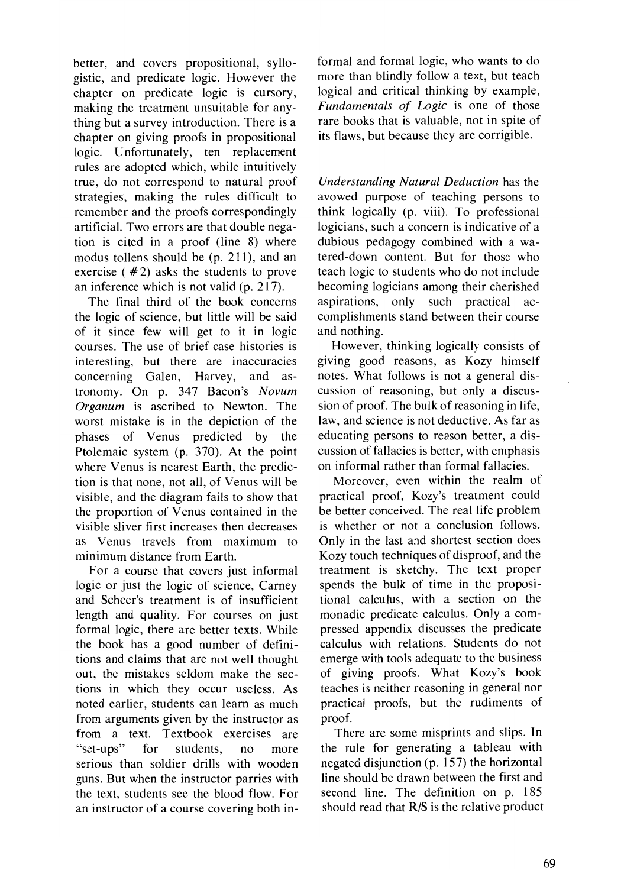better, and covers propositional, syllogistic, and predicate logic. However the chapter on predicate logic is cursory, making the treatment unsuitable for anything but a survey introduction. There is a chapter on giving proofs in propositional logic. Unfortunately, ten replacement rules are adopted which, while intuitively true, do not correspond to natural proof strategies, making the rules difficult to remember and the proofs correspondingly artificial. Two errors are that double negation is cited in a proof (line 8) where modus tollens should be (p. 211), and an exercise ( $#2$ ) asks the students to prove an inference which is not valid (p. 217).

The final third of the book concerns the logic of science, but little will be said of it since few will get to it in logic courses. The use of brief case histories is interesting, but there are inaccuracies concerning Galen, Harvey, and astronomy. On p. 347 Bacon's *Novum Organum* is ascribed to Newton. The worst mistake is in the depiction of the phases of Venus predicted by the Ptolemaic system (p. 370). At the point where Venus is nearest Earth, the prediction is that none, not all, of Venus will be visible, and the diagram fails to show that the proportion of Venus contained in the visible sliver first increases then decreases as Venus travels from maximum to minimum distance from Earth.

For a course that covers just informal logic or just the logic of science, Carney and Scheer's treatment is of insufficient length and quality. For courses on just formal logic, there are better texts. While the book has a good number of definitions and claims that are not well thought out, the mistakes seldom make the sections in which they occur useless. As noted earlier, students can learn as much from arguments given by the instructor as from a text. Textbook exercises are "set-ups" for students, no more serious than soldier drills with wooden guns. But when the instructor parries with the text, students see the blood flow. For an instructor of a course covering both informal and formal logic, who wants to do more than blindly follow a text, but teach logical and critical thinking by example, *Fundamentals of Logic* is one of those rare books that is valuable, not in spite of its flaws, but because they are corrigible.

*Understanding Natural Deduction* has the avowed purpose of teaching persons to think logically (p. viii). To professional logicians, such a concern is indicative of a dubious pedagogy combined with a watered-down content. But for those who teach logic to students who do not include becoming logicians among their cherished aspirations, only such practical accomplishments stand between their course and nothing.

However, thinking logically consists of giving good reasons, as Kozy himself notes. What follows is not a general discussion of reasoning, but only a discussion of proof. The bulk of reasoning in life, law, and science is not deductive. As far as educating persons to reason better, a discussion of fallacies is better, with emphasis on informal rather than formal fallacies.

Moreover, even within the realm of practical proof, Kozy's treatment could be better conceived. The real life problem is whether or not a conclusion follows. Only in the last and shortest section does Kozy touch techniques of disproof, and the treatment is sketchy. The text proper spends the bulk of time in the propositional calculus, with a section on the monadic predicate calculus. Only a compressed appendix discusses the predicate calculus with relations. Students do not emerge with tools adequate to the business of giving proofs. What Kozy's book teaches is neither reasoning in general nor practical proofs, but the rudiments of proof.

There are some misprints and slips. In the rule for generating a tableau with negated disjunction (p. 157) the horizontal line should be drawn between the first and second line. The definition on p. 185 should read that  $R/S$  is the relative product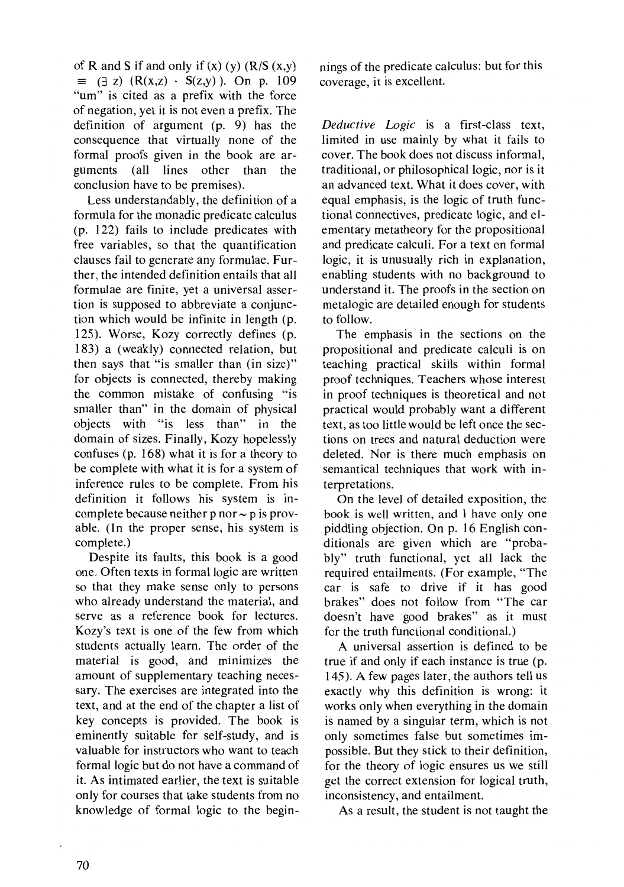of R and S if and only if  $(x)$   $(y)$   $(R/S (x,y))$  $\equiv$  ( $\exists$  z) (R(x,z)  $\cdot$  S(z,y)). On p. 109 "um" is cited as a prefix with the force of negation, yet it is not even a prefix. The definition of argument  $(p, 9)$  has the consequence that virtually none of the formal proofs given in the book are arguments (all lines other than the conclusion have to be premises).

Less understandably, the definition of a formula for the monadic predicate calculus (p. 122) fails to include predicates with free variables, so that the quantification clauses fail to generate any formulae. Further, the intended definition entails that all formulae are finite, yet a universal assertion is supposed to abbreviate a conjunction which would be infinite in length (p. 125). Worse, Kozy correctly defines (p. 183) a (weakly) connected relation, but then says that "is smaller than (in size)" for objects is connected, thereby making the common mistake of confusing "is smaller than" in the domain of physical objects with "is less than" in the domain of sizes. Finally, Kozy hopelessly confuses (p. 168) what it is for a theory to be complete with what it is for a system of inference rules to be complete. From his definition it follows his system is incomplete because neither  $p$  nor  $\sim p$  is provable. (In the proper sense; his system is complete.)

Despite its faults, this book is a good one. Often texts in formal logic are written so that they make sense only to persons who already understand the material, and serve as a reference book for lectures. Kozy's text is one of the few from which students actually learn. The order of the material is good, and minimizes the amount of supplementary teaching necessary. The exercises are integrated into the text, and at the end of the chapter a list of key concepts is provided. The book is eminently suitable for self-study, and is valuable for instructors who want to teach formal logic but do not have a command of it. As intimated earlier, the text is suitable only for courses that take students from no knowledge of formal logic to the beginnings of the predicate calculus: but for this coverage, it is excellent.

*Deductive Logic* is a first-class text, limited in use mainly by what it fails to cover. The book does not discuss informal, traditional, or philosophical logic, nor is it an advanced text. What it does cover, with equal emphasis, is the logic of truth functional connectives, predicate logic, and elementary metatheory for the propositional and predicate calculi. For a text on formal logic, it is unusually rich in explanation, enabling students with no background to understand it. The proofs in the section on metalogic are detailed enough for students to follow.

The emphasis in the sections on the propositional and predicate calculi is on teaching practical skills within formal proof techniques. Teachers whose interest in proof techniques is theoretical and not practical would probably want a different text, as too little would be left once the sections on trees and natural deduction were deleted. Nor is there much emphasis on semantical techniques that work with interpretations.

On the level of detailed exposition, the book is well written, and I have only one piddling objection. On p. 16 English conditionals are given which are "probably" truth functional, yet all lack the required entailments. (For example, "The car is safe to drive if it has good brakes" does not follow from "The car doesn't have good brakes" as it must for the truth functional conditional.)

A universal assertion is defined to be true if and only if each instance is true (p. 145). A few pages later, the authors tell us exactly why this definition is wrong: it works only when everything in the domain is named by a singular term, which is not only sometimes false but sometimes impossible. But they stick to their definition, for the theory of logic ensures us we still get the correct extension for logical truth, inconsistency, and entailment.

As a result, the student is not taught the